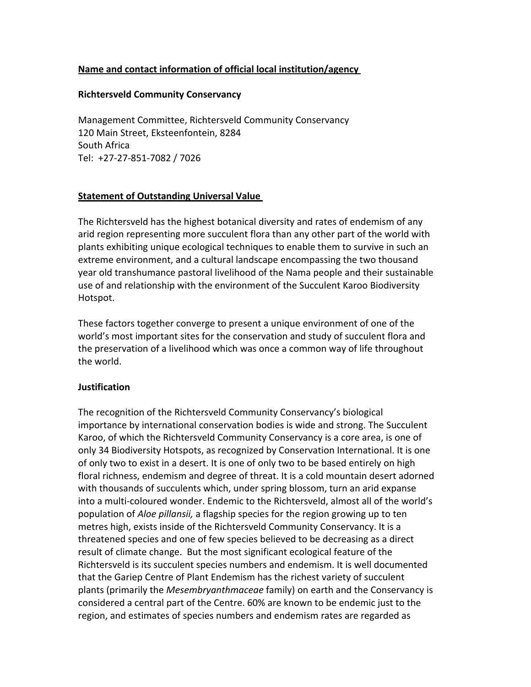## **Name
and
contact
information
of
official
local
institution/agency**

#### **Richtersveld
Community
Conservancy**

Management
Committee,
Richtersveld
Community
Conservancy 120
Main
Street,
Eksteenfontein,
8284 South
Africa Tel: +27‐27‐851‐7082
/
7026

### **Statement
of
Outstanding
Universal
Value**

The
Richtersveld
has
the
highest
botanical
diversity
and
rates
of
endemism
of
any arid region representing more succulent flora than any other part of the world with plants exhibiting unique ecological techniques to enable them to survive in such an extreme
environment,
and
a
cultural
landscape
encompassing
the
two
thousand year
old
transhumance
pastoral
livelihood
of
the
Nama
people
and
their
sustainable use
of
and
relationship
with
the
environment
of
the
Succulent
Karoo
Biodiversity Hotspot.

These factors together converge to present a unique environment of one of the world's most important sites for the conservation and study of succulent flora and the preservation of a livelihood which was once a common way of life throughout the
world.

#### **Justification**

The
recognition
of
the
Richtersveld
Community
Conservancy's
biological importance by international conservation bodies is wide and strong. The Succulent Karoo, of which the Richtersveld Community Conservancy is a core area, is one of only
34
Biodiversity
Hotspots,
as
recognized
by
Conservation
International.
It
is
one of only two to exist in a desert. It is one of only two to be based entirely on high floral richness, endemism and degree of threat. It is a cold mountain desert adorned with thousands of succulents which, under spring blossom, turn an arid expanse into a multi-coloured wonder. Endemic to the Richtersveld, almost all of the world's population of *Aloe pillansii*, a flagship species for the region growing up to ten metres high, exists inside of the Richtersveld Community Conservancy. It is a threatened species and one of few species believed to be decreasing as a direct result of climate change. But the most significant ecological feature of the Richtersveld is its succulent species numbers and endemism. It is well documented that the Gariep Centre of Plant Endemism has the richest variety of succulent plants
(primarily
the *Mesembryanthmaceae*family)
on
earth
and
the
Conservancy
is considered
a
central
part
of
the
Centre.
60%
are
known
to
be
endemic
just
to
the region,
and
estimates
of
species
numbers
and
endemism
rates
are
regarded
as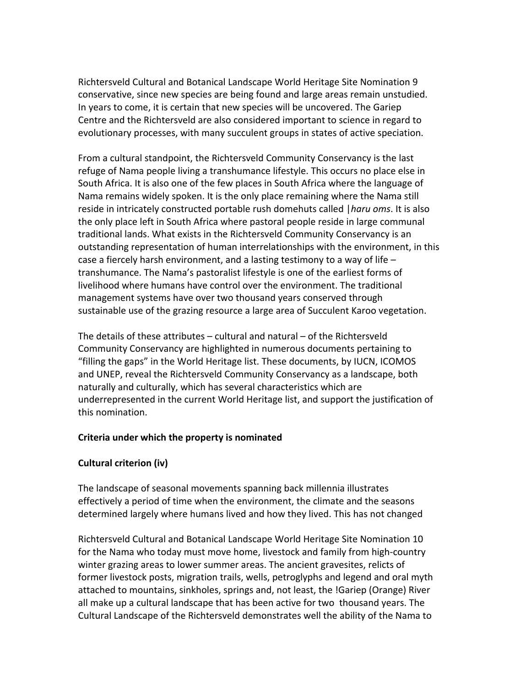Richtersveld
Cultural
and
Botanical
Landscape
World
Heritage
Site
Nomination
9 conservative, since new species are being found and large areas remain unstudied. In years to come, it is certain that new species will be uncovered. The Gariep Centre and the Richtersveld are also considered important to science in regard to evolutionary
processes,
with
many
succulent
groups
in
states
of
active
speciation.

From
a
cultural
standpoint,
the
Richtersveld
Community
Conservancy
is
the
last refuge of Nama people living a transhumance lifestyle. This occurs no place else in South Africa. It is also one of the few places in South Africa where the language of Nama remains widely spoken. It is the only place remaining where the Nama still reside in intricately constructed portable rush domehuts called | haru oms. It is also the
only
place
left
in
South
Africa
where
pastoral
people
reside
in
large
communal traditional lands. What exists in the Richtersveld Community Conservancy is an outstanding representation of human interrelationships with the environment, in this case a fiercely harsh environment, and a lasting testimony to a way of life transhumance. The Nama's pastoralist lifestyle is one of the earliest forms of livelihood where humans have control over the environment. The traditional management systems have over two thousand years conserved through sustainable use of the grazing resource a large area of Succulent Karoo vegetation.

The details of these attributes – cultural and natural – of the Richtersveld Community Conservancy are highlighted in numerous documents pertaining to "filling the gaps" in the World Heritage list. These documents, by IUCN, ICOMOS and UNEP, reveal the Richtersveld Community Conservancy as a landscape, both naturally and culturally, which has several characteristics which are underrepresented in the current World Heritage list, and support the justification of this
nomination.

### **Criteria
under
which
the
property
is
nominated**

### **Cultural
criterion
(iv)**

The
landscape
of
seasonal
movements
spanning
back
millennia
illustrates effectively
a
period
of
time
when
the
environment,
the
climate
and
the
seasons determined largely where humans lived and how they lived. This has not changed

Richtersveld
Cultural
and
Botanical
Landscape
World
Heritage
Site
Nomination
10 for the Nama who today must move home, livestock and family from high-country winter grazing areas to lower summer areas. The ancient gravesites, relicts of former livestock posts, migration trails, wells, petroglyphs and legend and oral myth attached
to
mountains,
sinkholes,
springs
and,
not
least,
the
!Gariep
(Orange)
River all make up a cultural landscape that has been active for two thousand years. The Cultural Landscape of the Richtersveld demonstrates well the ability of the Nama to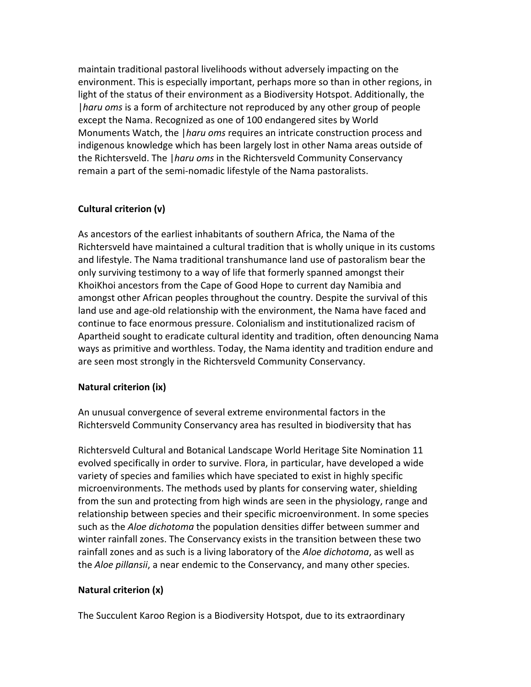maintain
traditional
pastoral
livelihoods
without
adversely
impacting
on
the environment. This is especially important, perhaps more so than in other regions, in light of the status of their environment as a Biodiversity Hotspot. Additionally, the *l haru oms* is a form of architecture not reproduced by any other group of people except
the
Nama.
Recognized
as
one
of
100
endangered
sites
by
World Monuments Watch, the | haru oms requires an intricate construction process and indigenous knowledge which has been largely lost in other Nama areas outside of the
Richtersveld.
The
|*haru
oms* in
the
Richtersveld
Community
Conservancy remain a part of the semi-nomadic lifestyle of the Nama pastoralists.

## **Cultural
criterion
(v)**

As ancestors of the earliest inhabitants of southern Africa, the Nama of the Richtersveld have maintained a cultural tradition that is wholly unique in its customs and
lifestyle.
The
Nama
traditional
transhumance
land
use
of
pastoralism
bear
the only
surviving
testimony
to
a
way
of
life
that
formerly
spanned
amongst
their KhoiKhoi
ancestors
from
the
Cape
of
Good
Hope
to
current
day
Namibia
and amongst other African peoples throughout the country. Despite the survival of this land use and age-old relationship with the environment, the Nama have faced and continue
to
face
enormous
pressure.
Colonialism
and
institutionalized
racism
of Apartheid sought to eradicate cultural identity and tradition, often denouncing Nama ways as primitive and worthless. Today, the Nama identity and tradition endure and are
seen
most
strongly
in
the
Richtersveld
Community
Conservancy.

# **Natural
criterion
(ix)**

An
unusual
convergence
of
several
extreme
environmental
factors
in
the Richtersveld
Community
Conservancy
area
has
resulted
in
biodiversity
that
has

Richtersveld
Cultural
and
Botanical
Landscape
World
Heritage
Site
Nomination
11 evolved specifically in order to survive. Flora, in particular, have developed a wide variety of species and families which have speciated to exist in highly specific microenvironments.
The
methods
used
by
plants
for
conserving
water,
shielding from the sun and protecting from high winds are seen in the physiology, range and relationship between species and their specific microenvironment. In some species such as the *Aloe dichotoma* the population densities differ between summer and winter rainfall zones. The Conservancy exists in the transition between these two rainfall zones and as such is a living laboratory of the *Aloe dichotoma*, as well as the *Aloe pillansii*, a near endemic to the Conservancy, and many other species.

# **Natural
criterion
(x)**

The
Succulent
Karoo
Region
is
a
Biodiversity
Hotspot,
due
to
its
extraordinary